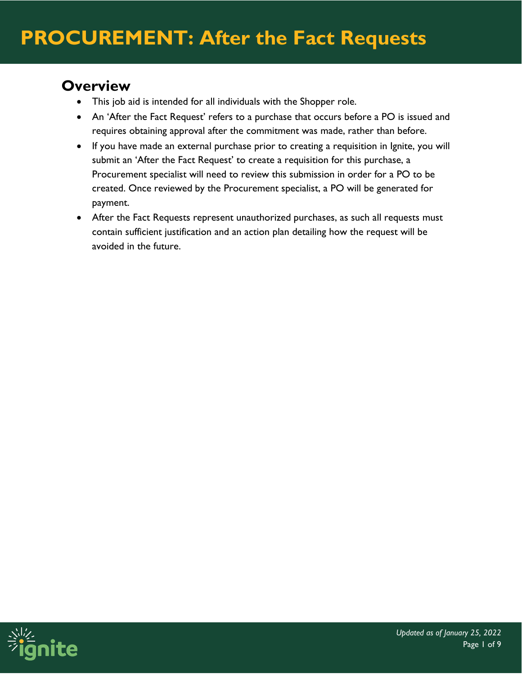#### **Overview**

- This job aid is intended for all individuals with the Shopper role.
- An 'After the Fact Request' refers to a purchase that occurs before a PO is issued and requires obtaining approval after the commitment was made, rather than before.
- If you have made an external purchase prior to creating a requisition in Ignite, you will submit an 'After the Fact Request' to create a requisition for this purchase, a Procurement specialist will need to review this submission in order for a PO to be created. Once reviewed by the Procurement specialist, a PO will be generated for payment.
- After the Fact Requests represent unauthorized purchases, as such all requests must contain sufficient justification and an action plan detailing how the request will be avoided in the future.

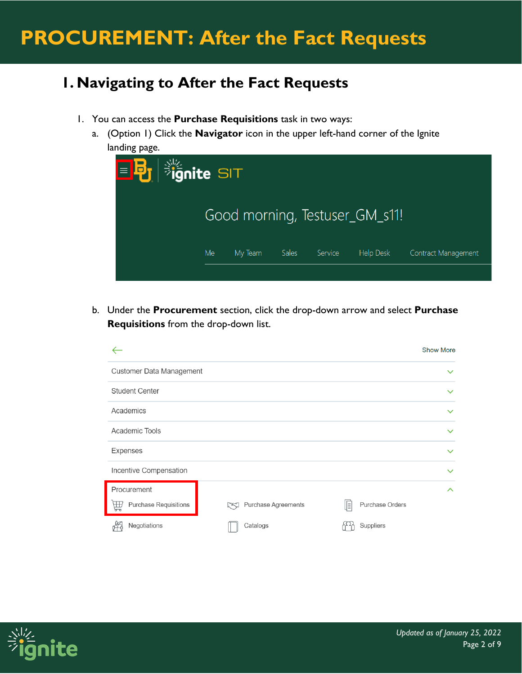#### **1. Navigating to After the Fact Requests**

- 1. You can access the **Purchase Requisitions** task in two ways:
	- a. (Option 1) Click the **Navigator** icon in the upper left-hand corner of the Ignite landing page.



b. Under the **Procurement** section, click the drop-down arrow and select **Purchase Requisitions** from the drop-down list.



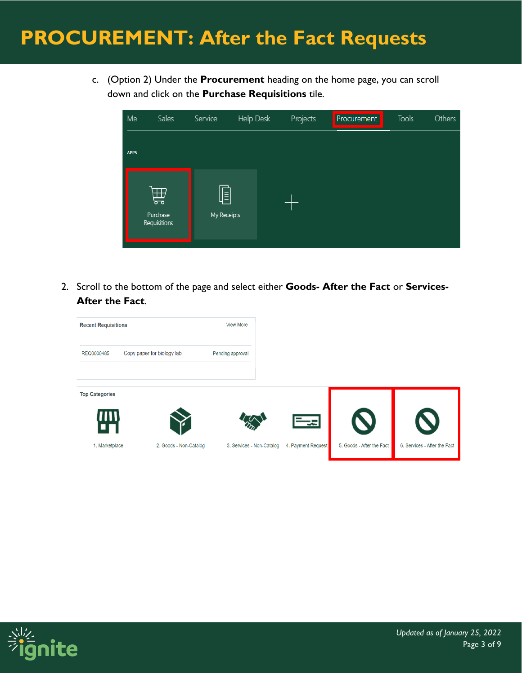c. (Option 2) Under the **Procurement** heading on the home page, you can scroll down and click on the **Purchase Requisitions** tile.



2. Scroll to the bottom of the page and select either **Goods- After the Fact** or **Services-After the Fact**.



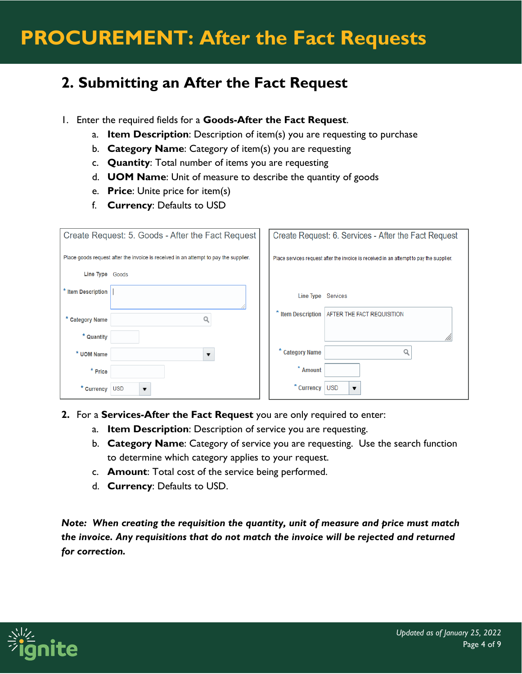#### **2. Submitting an After the Fact Request**

- 1. Enter the required fields for a **Goods-After the Fact Request**.
	- a. **Item Description**: Description of item(s) you are requesting to purchase
	- b. **Category Name**: Category of item(s) you are requesting
	- c. **Quantity**: Total number of items you are requesting
	- d. **UOM Name**: Unit of measure to describe the quantity of goods
	- e. **Price**: Unite price for item(s)
	- f. **Currency**: Defaults to USD

| Create Request: 5. Goods - After the Fact Request |                                                                                      |  | Create Request: 6. Services - After the Fact Request                                    |                                        |  |
|---------------------------------------------------|--------------------------------------------------------------------------------------|--|-----------------------------------------------------------------------------------------|----------------------------------------|--|
|                                                   | Place goods request after the invoice is received in an attempt to pay the supplier. |  | Place services request after the invoice is received in an attempt to pay the supplier. |                                        |  |
| Line Type Goods                                   |                                                                                      |  |                                                                                         |                                        |  |
| * Item Description                                |                                                                                      |  | Line Type                                                                               | Services                               |  |
| * Category Name                                   |                                                                                      |  | * Item Description                                                                      | AFTER THE FACT REQUISITION             |  |
| * Quantity                                        |                                                                                      |  |                                                                                         |                                        |  |
| * UOM Name                                        |                                                                                      |  | * Category Name                                                                         |                                        |  |
| * Price                                           |                                                                                      |  | ×<br>Amount                                                                             |                                        |  |
| * Currency                                        | <b>USD</b><br>$\overline{\phantom{a}}$                                               |  | * Currency                                                                              | <b>USD</b><br>$\overline{\phantom{a}}$ |  |

- **2.** For a **Services-After the Fact Request** you are only required to enter:
	- a. **Item Description**: Description of service you are requesting.
	- b. **Category Name**: Category of service you are requesting. Use the search function to determine which category applies to your request.
	- c. **Amount**: Total cost of the service being performed.
	- d. **Currency**: Defaults to USD.

*Note: When creating the requisition the quantity, unit of measure and price must match the invoice. Any requisitions that do not match the invoice will be rejected and returned for correction.* 

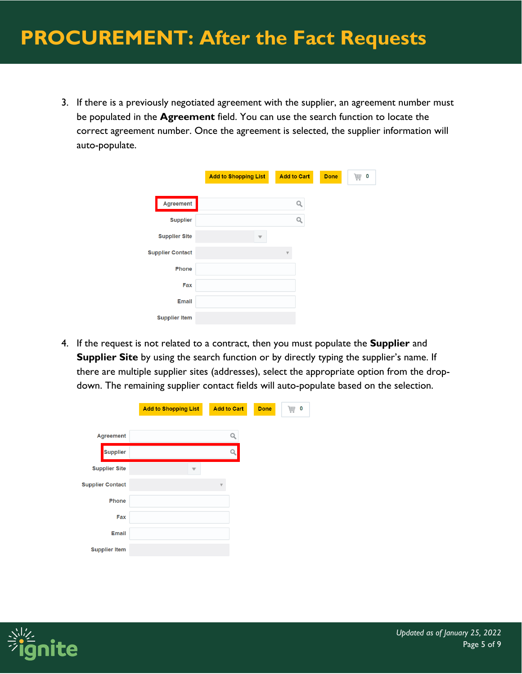3. If there is a previously negotiated agreement with the supplier, an agreement number must be populated in the **Agreement** field. You can use the search function to locate the correct agreement number. Once the agreement is selected, the supplier information will auto-populate.

|                         | <b>Add to Shopping List</b> | <b>Add to Cart</b> | <b>Done</b> | 声 0 |
|-------------------------|-----------------------------|--------------------|-------------|-----|
| Agreement               |                             | Q                  |             |     |
| <b>Supplier</b>         |                             |                    |             |     |
| <b>Supplier Site</b>    |                             |                    |             |     |
| <b>Supplier Contact</b> |                             |                    |             |     |
| <b>Phone</b>            |                             |                    |             |     |
| Fax                     |                             |                    |             |     |
| <b>Email</b>            |                             |                    |             |     |
| <b>Supplier Item</b>    |                             |                    |             |     |

4. If the request is not related to a contract, then you must populate the **Supplier** and **Supplier Site** by using the search function or by directly typing the supplier's name. If there are multiple supplier sites (addresses), select the appropriate option from the dropdown. The remaining supplier contact fields will auto-populate based on the selection.

|                         |                             | <b>Add to Cart</b> | <b>Done</b> | 0 |
|-------------------------|-----------------------------|--------------------|-------------|---|
|                         | <b>Add to Shopping List</b> |                    |             | 蔮 |
|                         |                             |                    |             |   |
| Agreement               |                             | Q                  |             |   |
| <b>Supplier</b>         |                             |                    |             |   |
| <b>Supplier Site</b>    |                             |                    |             |   |
| <b>Supplier Contact</b> |                             |                    |             |   |
| Phone                   |                             |                    |             |   |
| Fax                     |                             |                    |             |   |
| <b>Email</b>            |                             |                    |             |   |
| <b>Supplier Item</b>    |                             |                    |             |   |

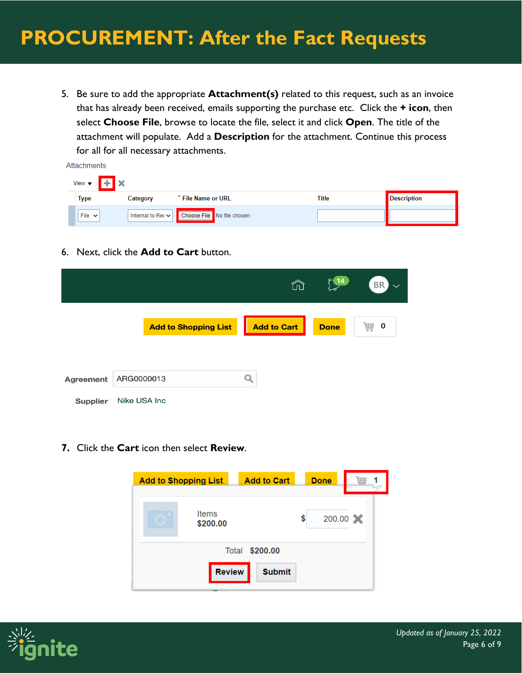5. Be sure to add the appropriate **Attachment(s)** related to this request, such as an invoice that has already been received, emails supporting the purchase etc. Click the **+ icon**, then select **Choose File**, browse to locate the file, select it and click **Open**. The title of the attachment will populate. Add a **Description** for the attachment. Continue this process for all for all necessary attachments.

| Attachments                                              |                                     |                            |       |                    |  |  |
|----------------------------------------------------------|-------------------------------------|----------------------------|-------|--------------------|--|--|
| $\mathbf{H}$ + $\mathbf{R}$<br>View $\blacktriangledown$ |                                     |                            |       |                    |  |  |
| Type                                                     | Category                            | * File Name or URL         | Title | <b>Description</b> |  |  |
| File $\vee$                                              | Internal to Rec $\vert \cdot \vert$ | Choose File No file chosen |       |                    |  |  |

6. Next, click the **Add to Cart** button.

|                                     |              |                             | ⋒                  | $\int 14$   | <b>BR</b><br>$\checkmark$ |
|-------------------------------------|--------------|-----------------------------|--------------------|-------------|---------------------------|
|                                     |              | <b>Add to Shopping List</b> | <b>Add to Cart</b> | <b>Done</b> | O<br>昷                    |
|                                     | ARG0000013   |                             |                    |             |                           |
| <b>Agreement</b><br><b>Supplier</b> | Nike USA Inc |                             |                    |             |                           |

**7.** Click the **Cart** icon then select **Review**.

| <b>Add to Shopping List</b> | <b>Add to Cart</b> | <b>Done</b>  |             |
|-----------------------------|--------------------|--------------|-------------|
| <b>Items</b><br>\$200.00    |                    | 200.00<br>\$ | $\mathbf x$ |
| Total                       | \$200.00           |              |             |
| <b>Review</b>               | <b>Submit</b>      |              |             |

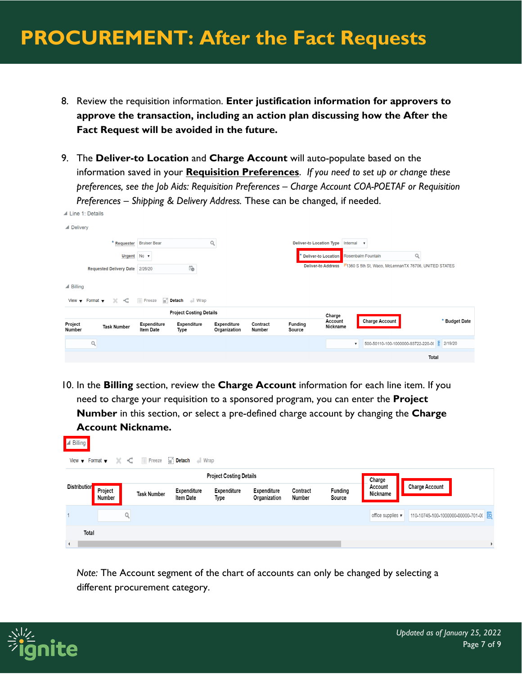- 8. Review the requisition information. **Enter justification information for approvers to approve the transaction, including an action plan discussing how the After the Fact Request will be avoided in the future.**
- 9. The **Deliver-to Location** and **Charge Account** will auto-populate based on the information saved in your **Requisition Preferences**. *If you need to set up or change these preferences, see the Job Aids: Requisition Preferences – Charge Account COA-POETAF or Requisition Preferences – Shipping & Delivery Address.* These can be changed, if needed.

|                     | $\blacktriangle$ Line 1: Details                                             |                                 |                                       |                                    |                    |                                 |                           |                                                               |               |
|---------------------|------------------------------------------------------------------------------|---------------------------------|---------------------------------------|------------------------------------|--------------------|---------------------------------|---------------------------|---------------------------------------------------------------|---------------|
| ▲ Delivery          |                                                                              |                                 |                                       |                                    |                    |                                 |                           |                                                               |               |
|                     | * Requester                                                                  | <b>Bruiser Bear</b>             |                                       | Q                                  |                    | <b>Deliver-to Location Type</b> |                           | Internal<br>$\boldsymbol{\mathrm{v}}$                         |               |
|                     | Urgent $No \triangledown$                                                    |                                 |                                       |                                    |                    |                                 | * Deliver-to Location     | Q<br>Rosenbalm Fountain                                       |               |
|                     | Requested Delivery Date 2/26/20                                              |                                 | Ïò                                    |                                    |                    |                                 | <b>Deliver-to Address</b> | 71360 S 5th St, Waco, McLennanTX 76706, UNITED STATES         |               |
| $\triangle$ Billing | $\prec$<br>View $\blacktriangledown$ Format $\blacktriangledown$<br>$\times$ | <b>III</b> Freeze               | $\blacksquare$ Detach<br>$\perp$ Wrap |                                    |                    |                                 |                           |                                                               |               |
|                     |                                                                              |                                 | <b>Project Costing Details</b>        |                                    |                    |                                 | Charge                    |                                                               |               |
| Project<br>Number   | <b>Task Number</b>                                                           | Expenditure<br><b>Item Date</b> | <b>Expenditure</b><br>Type            | <b>Expenditure</b><br>Organization | Contract<br>Number | Funding<br>Source               | Account<br>Nickname       | <b>Charge Account</b>                                         | * Budget Date |
|                     | $\alpha$                                                                     |                                 |                                       |                                    |                    |                                 |                           | 500-50110-100-1000000-93722-220-0(<br>$\overline{\mathbf{v}}$ | 틀 2/19/20     |
|                     |                                                                              |                                 |                                       |                                    |                    |                                 |                           |                                                               | Total         |

10. In the **Billing** section, review the **Charge Account** information for each line item. If you need to charge your requisition to a sponsored program, you can enter the **Project Number** in this section, or select a pre-defined charge account by changing the **Charge Account Nickname.** 

| ⊿ Billing                                                                                                                   |                   |                    |                                 |                                   |                             |                    |                          |                                                                   |
|-----------------------------------------------------------------------------------------------------------------------------|-------------------|--------------------|---------------------------------|-----------------------------------|-----------------------------|--------------------|--------------------------|-------------------------------------------------------------------|
| View $\blacktriangledown$ Format $\blacktriangledown$ $\blacktriangleleft$ <b>III</b> Freeze <b>II</b> Detach <b>I</b> Wrap |                   |                    |                                 |                                   |                             |                    |                          |                                                                   |
|                                                                                                                             |                   |                    |                                 | <b>Project Costing Details</b>    |                             |                    |                          | Charge                                                            |
| <b>Distribution</b>                                                                                                         | Project<br>Number | <b>Task Number</b> | Expenditure<br><b>Item Date</b> | <b>Expenditure</b><br><b>Type</b> | Expenditure<br>Organization | Contract<br>Number | <b>Funding</b><br>Source | <b>Charge Account</b><br>Account<br>Nickname                      |
|                                                                                                                             |                   |                    |                                 |                                   |                             |                    |                          | 110-10745-100-1000000-00000-701-0(<br>office supplies $\mathbf v$ |
| Total                                                                                                                       |                   |                    |                                 |                                   |                             |                    |                          |                                                                   |
| $\overline{\phantom{0}}$                                                                                                    |                   |                    |                                 |                                   |                             |                    |                          |                                                                   |

*Note:* The Account segment of the chart of accounts can only be changed by selecting a different procurement category.

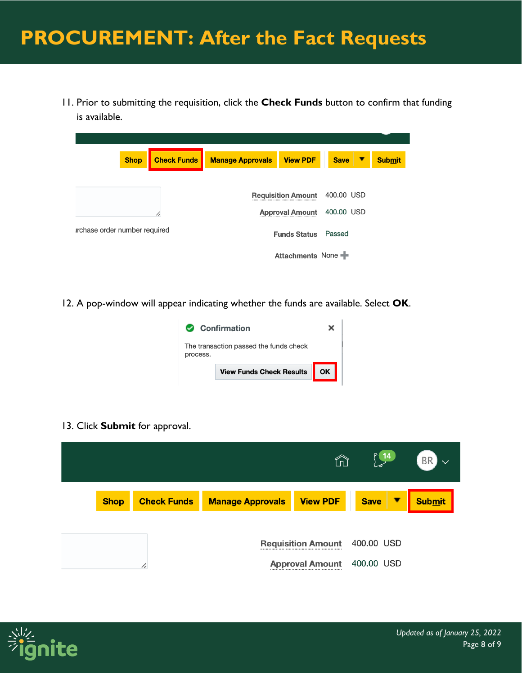11. Prior to submitting the requisition, click the **Check Funds** button to confirm that funding is available.

| <b>Shop</b>                   | <b>Check Funds</b> | <b>Manage Approvals</b> | <b>View PDF</b>           | <b>Save</b> | ▼ | <b>Submit</b> |
|-------------------------------|--------------------|-------------------------|---------------------------|-------------|---|---------------|
|                               |                    |                         | <b>Requisition Amount</b> | 400.00 USD  |   |               |
|                               | /,                 |                         | <b>Approval Amount</b>    | 400.00 USD  |   |               |
| irchase order number required |                    |                         | <b>Funds Status</b>       | Passed      |   |               |
|                               |                    |                         | Attachments None          |             |   |               |

12. A pop-window will appear indicating whether the funds are available. Select **OK**.



13. Click **Submit** for approval.